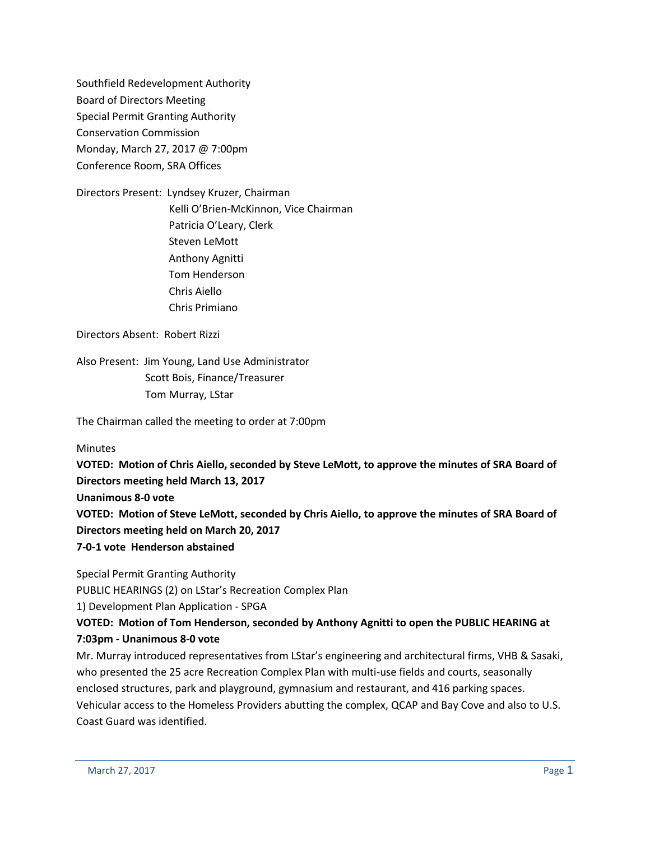Southfield Redevelopment Authority Board of Directors Meeting Special Permit Granting Authority Conservation Commission Monday, March 27, 2017 @ 7:00pm Conference Room, SRA Offices

Directors Present: Lyndsey Kruzer, Chairman Kelli O'Brien-McKinnon, Vice Chairman Patricia O'Leary, Clerk Steven LeMott Anthony Agnitti Tom Henderson Chris Aiello Chris Primiano

Directors Absent: Robert Rizzi

Also Present: Jim Young, Land Use Administrator Scott Bois, Finance/Treasurer Tom Murray, LStar

The Chairman called the meeting to order at 7:00pm

**Minutes** 

**VOTED: Motion of Chris Aiello, seconded by Steve LeMott, to approve the minutes of SRA Board of Directors meeting held March 13, 2017 Unanimous 8-0 vote VOTED: Motion of Steve LeMott, seconded by Chris Aiello, to approve the minutes of SRA Board of Directors meeting held on March 20, 2017 7-0-1 vote Henderson abstained**

Special Permit Granting Authority

PUBLIC HEARINGS (2) on LStar's Recreation Complex Plan

1) Development Plan Application - SPGA

**VOTED: Motion of Tom Henderson, seconded by Anthony Agnitti to open the PUBLIC HEARING at 7:03pm - Unanimous 8-0 vote**

Mr. Murray introduced representatives from LStar's engineering and architectural firms, VHB & Sasaki, who presented the 25 acre Recreation Complex Plan with multi-use fields and courts, seasonally enclosed structures, park and playground, gymnasium and restaurant, and 416 parking spaces. Vehicular access to the Homeless Providers abutting the complex, QCAP and Bay Cove and also to U.S. Coast Guard was identified.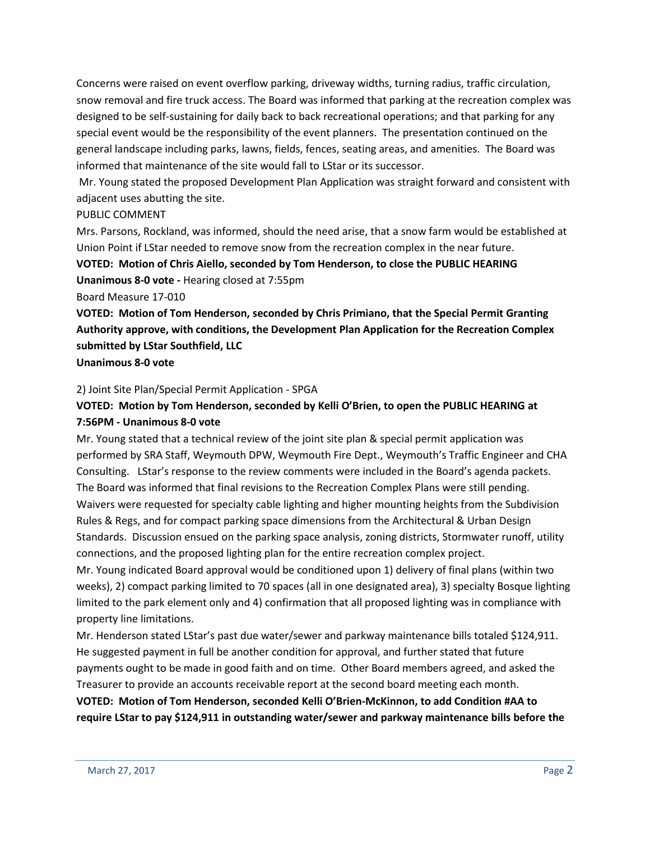Concerns were raised on event overflow parking, driveway widths, turning radius, traffic circulation, snow removal and fire truck access. The Board was informed that parking at the recreation complex was designed to be self-sustaining for daily back to back recreational operations; and that parking for any special event would be the responsibility of the event planners. The presentation continued on the general landscape including parks, lawns, fields, fences, seating areas, and amenities. The Board was informed that maintenance of the site would fall to LStar or its successor.

Mr. Young stated the proposed Development Plan Application was straight forward and consistent with adjacent uses abutting the site.

### PUBLIC COMMENT

Mrs. Parsons, Rockland, was informed, should the need arise, that a snow farm would be established at Union Point if LStar needed to remove snow from the recreation complex in the near future.

**VOTED: Motion of Chris Aiello, seconded by Tom Henderson, to close the PUBLIC HEARING Unanimous 8-0 vote -** Hearing closed at 7:55pm

Board Measure 17-010

**VOTED: Motion of Tom Henderson, seconded by Chris Primiano, that the Special Permit Granting Authority approve, with conditions, the Development Plan Application for the Recreation Complex submitted by LStar Southfield, LLC**

**Unanimous 8-0 vote**

2) Joint Site Plan/Special Permit Application - SPGA

## **VOTED: Motion by Tom Henderson, seconded by Kelli O'Brien, to open the PUBLIC HEARING at 7:56PM - Unanimous 8-0 vote**

Mr. Young stated that a technical review of the joint site plan & special permit application was performed by SRA Staff, Weymouth DPW, Weymouth Fire Dept., Weymouth's Traffic Engineer and CHA Consulting. LStar's response to the review comments were included in the Board's agenda packets. The Board was informed that final revisions to the Recreation Complex Plans were still pending. Waivers were requested for specialty cable lighting and higher mounting heights from the Subdivision Rules & Regs, and for compact parking space dimensions from the Architectural & Urban Design Standards. Discussion ensued on the parking space analysis, zoning districts, Stormwater runoff, utility connections, and the proposed lighting plan for the entire recreation complex project.

Mr. Young indicated Board approval would be conditioned upon 1) delivery of final plans (within two weeks), 2) compact parking limited to 70 spaces (all in one designated area), 3) specialty Bosque lighting limited to the park element only and 4) confirmation that all proposed lighting was in compliance with property line limitations.

Mr. Henderson stated LStar's past due water/sewer and parkway maintenance bills totaled \$124,911. He suggested payment in full be another condition for approval, and further stated that future payments ought to be made in good faith and on time. Other Board members agreed, and asked the Treasurer to provide an accounts receivable report at the second board meeting each month.

**VOTED: Motion of Tom Henderson, seconded Kelli O'Brien-McKinnon, to add Condition #AA to require LStar to pay \$124,911 in outstanding water/sewer and parkway maintenance bills before the**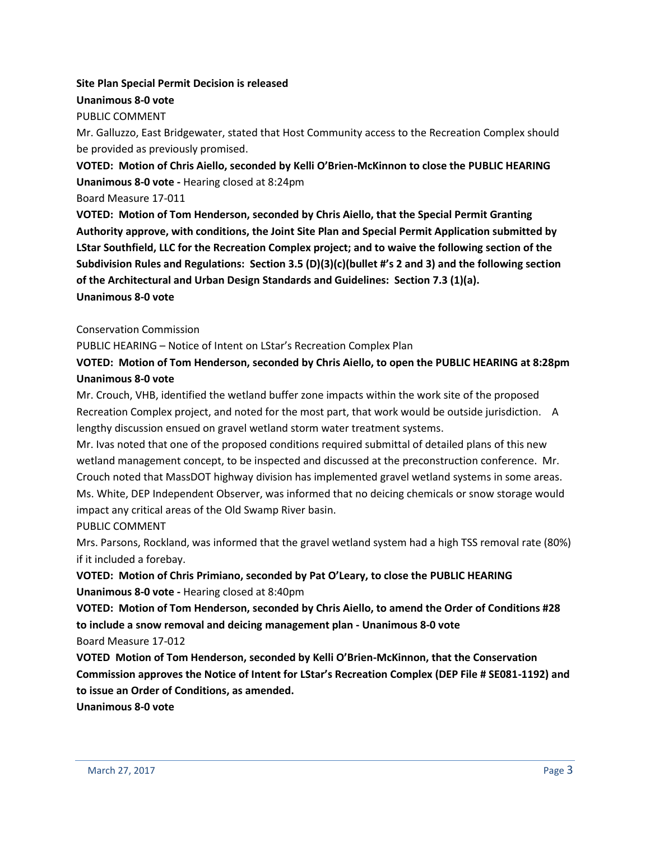# **Site Plan Special Permit Decision is released**

## **Unanimous 8-0 vote**

## PUBLIC COMMENT

Mr. Galluzzo, East Bridgewater, stated that Host Community access to the Recreation Complex should be provided as previously promised.

**VOTED: Motion of Chris Aiello, seconded by Kelli O'Brien-McKinnon to close the PUBLIC HEARING Unanimous 8-0 vote -** Hearing closed at 8:24pm

Board Measure 17-011

**VOTED: Motion of Tom Henderson, seconded by Chris Aiello, that the Special Permit Granting Authority approve, with conditions, the Joint Site Plan and Special Permit Application submitted by LStar Southfield, LLC for the Recreation Complex project; and to waive the following section of the Subdivision Rules and Regulations: Section 3.5 (D)(3)(c)(bullet #'s 2 and 3) and the following section of the Architectural and Urban Design Standards and Guidelines: Section 7.3 (1)(a). Unanimous 8-0 vote**

Conservation Commission

PUBLIC HEARING – Notice of Intent on LStar's Recreation Complex Plan

## **VOTED: Motion of Tom Henderson, seconded by Chris Aiello, to open the PUBLIC HEARING at 8:28pm Unanimous 8-0 vote**

Mr. Crouch, VHB, identified the wetland buffer zone impacts within the work site of the proposed Recreation Complex project, and noted for the most part, that work would be outside jurisdiction. A lengthy discussion ensued on gravel wetland storm water treatment systems.

Mr. Ivas noted that one of the proposed conditions required submittal of detailed plans of this new wetland management concept, to be inspected and discussed at the preconstruction conference. Mr. Crouch noted that MassDOT highway division has implemented gravel wetland systems in some areas. Ms. White, DEP Independent Observer, was informed that no deicing chemicals or snow storage would impact any critical areas of the Old Swamp River basin.

#### PUBLIC COMMENT

Mrs. Parsons, Rockland, was informed that the gravel wetland system had a high TSS removal rate (80%) if it included a forebay.

# **VOTED: Motion of Chris Primiano, seconded by Pat O'Leary, to close the PUBLIC HEARING Unanimous 8-0 vote -** Hearing closed at 8:40pm

**VOTED: Motion of Tom Henderson, seconded by Chris Aiello, to amend the Order of Conditions #28 to include a snow removal and deicing management plan - Unanimous 8-0 vote**

Board Measure 17-012

**VOTED Motion of Tom Henderson, seconded by Kelli O'Brien-McKinnon, that the Conservation Commission approves the Notice of Intent for LStar's Recreation Complex (DEP File # SE081-1192) and to issue an Order of Conditions, as amended.**

**Unanimous 8-0 vote**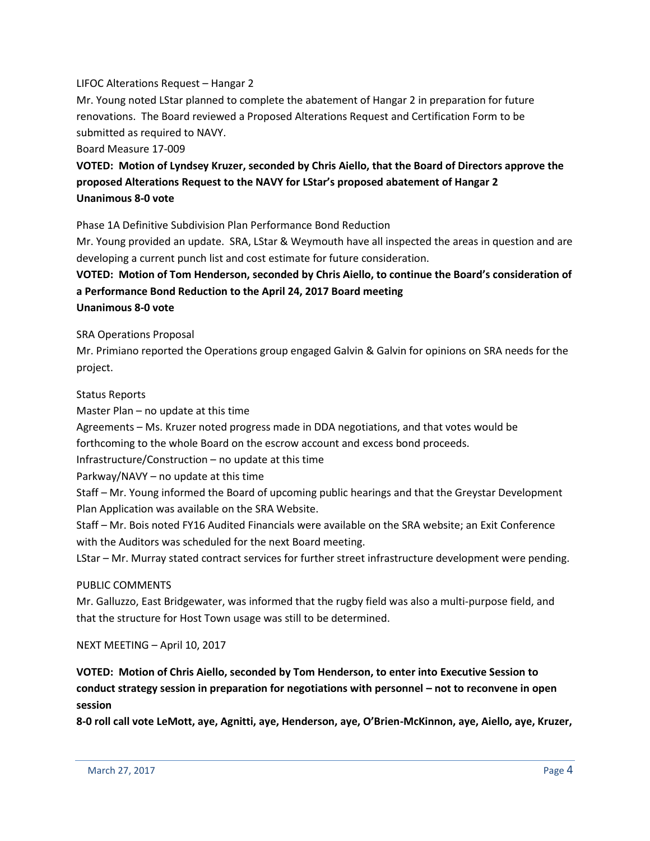#### LIFOC Alterations Request – Hangar 2

Mr. Young noted LStar planned to complete the abatement of Hangar 2 in preparation for future renovations. The Board reviewed a Proposed Alterations Request and Certification Form to be submitted as required to NAVY.

Board Measure 17-009

# **VOTED: Motion of Lyndsey Kruzer, seconded by Chris Aiello, that the Board of Directors approve the proposed Alterations Request to the NAVY for LStar's proposed abatement of Hangar 2 Unanimous 8-0 vote**

Phase 1A Definitive Subdivision Plan Performance Bond Reduction

Mr. Young provided an update. SRA, LStar & Weymouth have all inspected the areas in question and are developing a current punch list and cost estimate for future consideration.

# **VOTED: Motion of Tom Henderson, seconded by Chris Aiello, to continue the Board's consideration of a Performance Bond Reduction to the April 24, 2017 Board meeting**

#### **Unanimous 8-0 vote**

SRA Operations Proposal

Mr. Primiano reported the Operations group engaged Galvin & Galvin for opinions on SRA needs for the project.

#### Status Reports

Master Plan – no update at this time

Agreements – Ms. Kruzer noted progress made in DDA negotiations, and that votes would be

forthcoming to the whole Board on the escrow account and excess bond proceeds.

Infrastructure/Construction – no update at this time

Parkway/NAVY – no update at this time

Staff – Mr. Young informed the Board of upcoming public hearings and that the Greystar Development Plan Application was available on the SRA Website.

Staff – Mr. Bois noted FY16 Audited Financials were available on the SRA website; an Exit Conference with the Auditors was scheduled for the next Board meeting.

LStar – Mr. Murray stated contract services for further street infrastructure development were pending.

#### PUBLIC COMMENTS

Mr. Galluzzo, East Bridgewater, was informed that the rugby field was also a multi-purpose field, and that the structure for Host Town usage was still to be determined.

NEXT MEETING – April 10, 2017

**VOTED: Motion of Chris Aiello, seconded by Tom Henderson, to enter into Executive Session to conduct strategy session in preparation for negotiations with personnel – not to reconvene in open session**

**8-0 roll call vote LeMott, aye, Agnitti, aye, Henderson, aye, O'Brien-McKinnon, aye, Aiello, aye, Kruzer,**